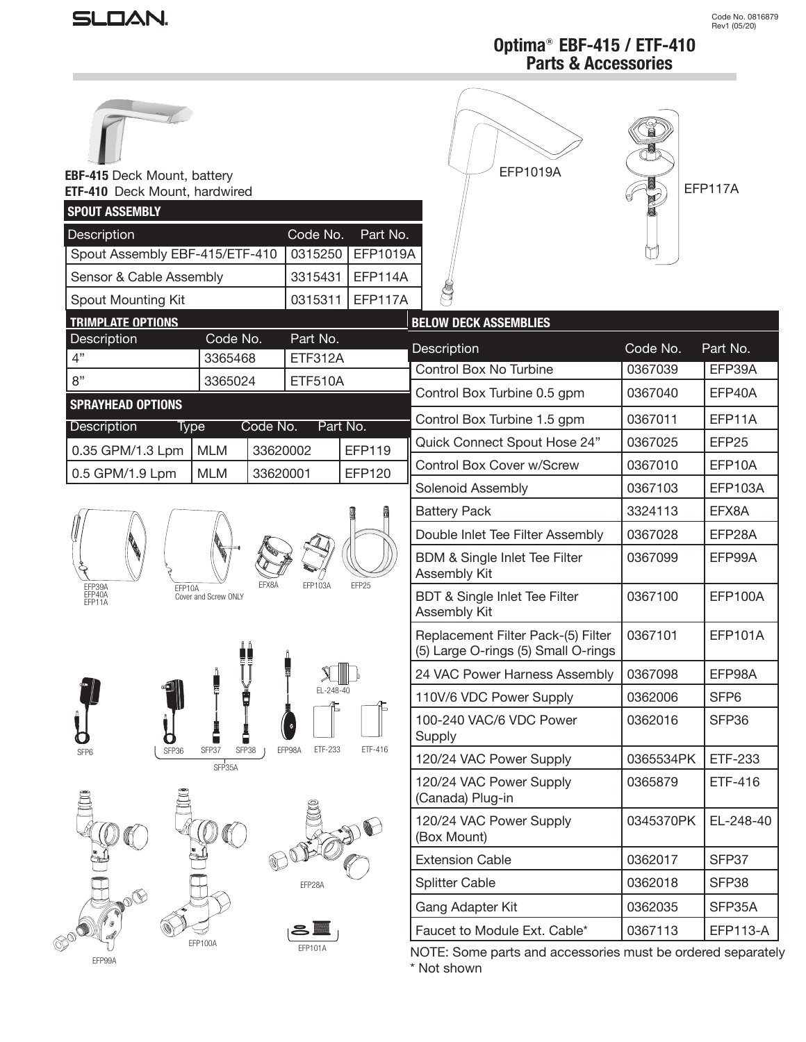# SLOAN.

EFP117A

# **Optima**® **EBF-415 / ETF-410 Parts & Accessories**

EFP1019A

| ROW |
|-----|
|     |
|     |

#### **EBF-415** Deck Mount, battery **ETF-410** Deck Mount, hardwired

| <b>SPOUT ASSEMBLY</b>                                                                     |                                                   |                   |                                                          |                                                                           |                  |                   |
|-------------------------------------------------------------------------------------------|---------------------------------------------------|-------------------|----------------------------------------------------------|---------------------------------------------------------------------------|------------------|-------------------|
| <b>Description</b><br>Code No.<br>Part No.                                                |                                                   |                   |                                                          |                                                                           |                  |                   |
| Spout Assembly EBF-415/ETF-410                                                            |                                                   | 0315250           | EFP1019A                                                 |                                                                           |                  |                   |
| Sensor & Cable Assembly                                                                   |                                                   | 3315431           | EFP114A                                                  |                                                                           |                  |                   |
| Spout Mounting Kit                                                                        |                                                   | 0315311           | <b>EFP117A</b>                                           |                                                                           |                  |                   |
| <b>TRIMPLATE OPTIONS</b>                                                                  |                                                   |                   |                                                          | <b>BELOW DECK ASSEMBLIES</b>                                              |                  |                   |
| Description<br>4"                                                                         | Part No.<br>Code No.<br><b>ETF312A</b><br>3365468 |                   |                                                          | Description                                                               | Code No.         | Part No.          |
| 8"                                                                                        | 3365024                                           | <b>ETF510A</b>    |                                                          | Control Box No Turbine                                                    | 0367039          | EFP39A            |
|                                                                                           |                                                   |                   |                                                          | Control Box Turbine 0.5 gpm                                               | 0367040          | EFP40A            |
| <b>SPRAYHEAD OPTIONS</b><br>Description                                                   |                                                   | Code No.          | Part No.                                                 | Control Box Turbine 1.5 gpm                                               | 0367011          | EFP11A            |
| Type<br>0.35 GPM/1.3 Lpm                                                                  | <b>MLM</b>                                        | 33620002          | EFP119                                                   | Quick Connect Spout Hose 24"                                              | 0367025          | EFP <sub>25</sub> |
|                                                                                           | <b>MLM</b>                                        | 33620001          | EFP120                                                   | Control Box Cover w/Screw                                                 | 0367010          | EFP10A            |
| 0.5 GPM/1.9 Lpm                                                                           |                                                   |                   |                                                          | Solenoid Assembly                                                         | 0367103          | <b>EFP103A</b>    |
|                                                                                           |                                                   |                   |                                                          | <b>Battery Pack</b>                                                       | 3324113          | EFX8A             |
| EFX8A<br>EFP25<br>EFP103A<br>EFP39A<br>EFP40A<br>EFP11A<br>EFP10A<br>Cover and Screw ONLY |                                                   |                   | Double Inlet Tee Filter Assembly                         | 0367028                                                                   | EFP28A           |                   |
|                                                                                           |                                                   |                   | <b>BDM &amp; Single Inlet Tee Filter</b><br>Assembly Kit | 0367099                                                                   | EFP99A           |                   |
|                                                                                           |                                                   |                   | BDT & Single Inlet Tee Filter<br>Assembly Kit            | 0367100                                                                   | EFP100A          |                   |
|                                                                                           |                                                   |                   |                                                          | Replacement Filter Pack-(5) Filter<br>(5) Large O-rings (5) Small O-rings | 0367101          | <b>EFP101A</b>    |
|                                                                                           |                                                   |                   |                                                          | 24 VAC Power Harness Assembly                                             | 0367098          | EFP98A            |
| EL-248-40                                                                                 |                                                   |                   | 110V/6 VDC Power Supply                                  | 0362006                                                                   | SFP <sub>6</sub> |                   |
|                                                                                           |                                                   |                   | 100-240 VAC/6 VDC Power<br>Supply                        | 0362016                                                                   | SFP36            |                   |
| SFP36<br>SFP6                                                                             | SFP38<br>SFP37<br>SFP35A                          | EFP98A<br>ETF-233 | ETF-416                                                  | 120/24 VAC Power Supply                                                   | 0365534PK        | ETF-233           |
|                                                                                           |                                                   |                   |                                                          | 120/24 VAC Power Supply<br>(Canada) Plug-in                               | 0365879          | ETF-416           |
|                                                                                           |                                                   |                   | 120/24 VAC Power Supply<br>(Box Mount)                   | 0345370PK                                                                 | EL-248-40        |                   |
|                                                                                           |                                                   |                   |                                                          | <b>Extension Cable</b>                                                    | 0362017          | SFP37             |
|                                                                                           |                                                   | EFP28A            |                                                          | <b>Splitter Cable</b>                                                     | 0362018          | SFP38             |
|                                                                                           |                                                   |                   |                                                          | Gang Adapter Kit                                                          | 0362035          | SFP35A            |
|                                                                                           |                                                   |                   |                                                          | Faucet to Module Ext. Cable*                                              | 0367113          | <b>EFP113-A</b>   |
| EFP99A                                                                                    | EFP100A                                           | EFP101A           |                                                          | NOTE: Some parts and accessories must be ordered separate                 |                  |                   |

NOTE: Some parts and accessories must be ordered separately \* Not shown